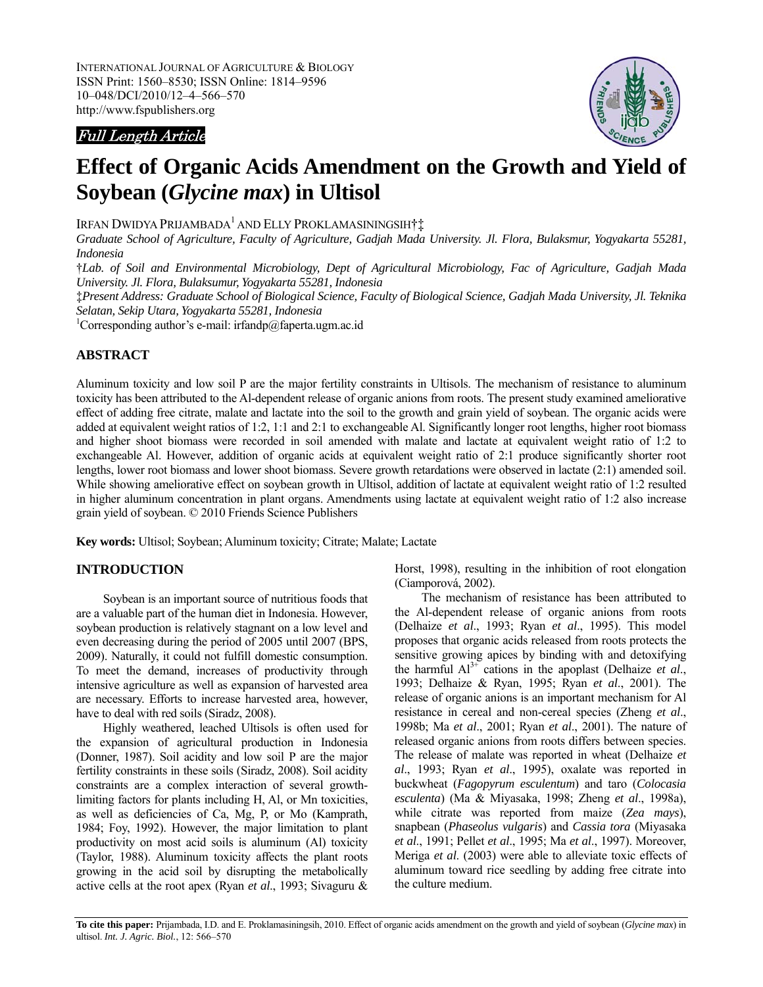INTERNATIONAL JOURNAL OF AGRICULTURE & BIOLOGY ISSN Print: 1560–8530; ISSN Online: 1814–9596 10–048/DCI/2010/12–4–566–570 http://www.fspublishers.org

## Full Length Article



# **Effect of Organic Acids Amendment on the Growth and Yield of Soybean (***Glycine max***) in Ultisol**

Irfan Dwidya Prijambada<sup>1</sup> and Elly Proklamasiningsih†<u>‡</u>

*Graduate School of Agriculture, Faculty of Agriculture, Gadjah Mada University. Jl. Flora, Bulaksmur, Yogyakarta 55281, Indonesia* 

†*Lab. of Soil and Environmental Microbiology, Dept of Agricultural Microbiology, Fac of Agriculture, Gadjah Mada University. Jl. Flora, Bulaksumur, Yogyakarta 55281, Indonesia* 

‡*Present Address: Graduate School of Biological Science, Faculty of Biological Science, Gadjah Mada University, Jl. Teknika Selatan, Sekip Utara, Yogyakarta 55281, Indonesia*

1 Corresponding author's e-mail: irfandp@faperta.ugm.ac.id

#### **ABSTRACT**

Aluminum toxicity and low soil P are the major fertility constraints in Ultisols. The mechanism of resistance to aluminum toxicity has been attributed to the Al-dependent release of organic anions from roots. The present study examined ameliorative effect of adding free citrate, malate and lactate into the soil to the growth and grain yield of soybean. The organic acids were added at equivalent weight ratios of 1:2, 1:1 and 2:1 to exchangeable Al. Significantly longer root lengths, higher root biomass and higher shoot biomass were recorded in soil amended with malate and lactate at equivalent weight ratio of 1:2 to exchangeable Al. However, addition of organic acids at equivalent weight ratio of 2:1 produce significantly shorter root lengths, lower root biomass and lower shoot biomass. Severe growth retardations were observed in lactate (2:1) amended soil. While showing ameliorative effect on soybean growth in Ultisol, addition of lactate at equivalent weight ratio of 1:2 resulted in higher aluminum concentration in plant organs. Amendments using lactate at equivalent weight ratio of 1:2 also increase grain yield of soybean. © 2010 Friends Science Publishers

**Key words:** Ultisol; Soybean; Aluminum toxicity; Citrate; Malate; Lactate

### **INTRODUCTION**

Soybean is an important source of nutritious foods that are a valuable part of the human diet in Indonesia. However, soybean production is relatively stagnant on a low level and even decreasing during the period of 2005 until 2007 (BPS, 2009). Naturally, it could not fulfill domestic consumption. To meet the demand, increases of productivity through intensive agriculture as well as expansion of harvested area are necessary. Efforts to increase harvested area, however, have to deal with red soils (Siradz, 2008).

Highly weathered, leached Ultisols is often used for the expansion of agricultural production in Indonesia (Donner, 1987). Soil acidity and low soil P are the major fertility constraints in these soils (Siradz, 2008). Soil acidity constraints are a complex interaction of several growthlimiting factors for plants including H, Al, or Mn toxicities, as well as deficiencies of Ca, Mg, P, or Mo (Kamprath, 1984; Foy, 1992). However, the major limitation to plant productivity on most acid soils is aluminum (Al) toxicity (Taylor, 1988). Aluminum toxicity affects the plant roots growing in the acid soil by disrupting the metabolically active cells at the root apex (Ryan *et al*., 1993; Sivaguru &

Horst, 1998), resulting in the inhibition of root elongation (Ciamporová, 2002).

The mechanism of resistance has been attributed to the Al-dependent release of organic anions from roots (Delhaize *et al*., 1993; Ryan *et al*., 1995). This model proposes that organic acids released from roots protects the sensitive growing apices by binding with and detoxifying the harmful  $Al^{3+}$  cations in the apoplast (Delhaize *et al.*, 1993; Delhaize & Ryan, 1995; Ryan *et al*., 2001). The release of organic anions is an important mechanism for Al resistance in cereal and non-cereal species (Zheng *et al*., 1998b; Ma *et al*., 2001; Ryan *et al*., 2001). The nature of released organic anions from roots differs between species. The release of malate was reported in wheat (Delhaize *et al*., 1993; Ryan *et al*., 1995), oxalate was reported in buckwheat (*Fagopyrum esculentum*) and taro (*Colocasia esculenta*) (Ma & Miyasaka, 1998; Zheng *et al*., 1998a), while citrate was reported from maize (*Zea mays*), snapbean (*Phaseolus vulgaris*) and *Cassia tora* (Miyasaka *et al*., 1991; Pellet *et al*., 1995; Ma *et al*., 1997). Moreover, Meriga *et al*. (2003) were able to alleviate toxic effects of aluminum toward rice seedling by adding free citrate into the culture medium.

**To cite this paper:** Prijambada, I.D. and E. Proklamasiningsih, 2010. Effect of organic acids amendment on the growth and yield of soybean (*Glycine max*) in ultisol. *Int. J. Agric. Biol.*, 12: 566–570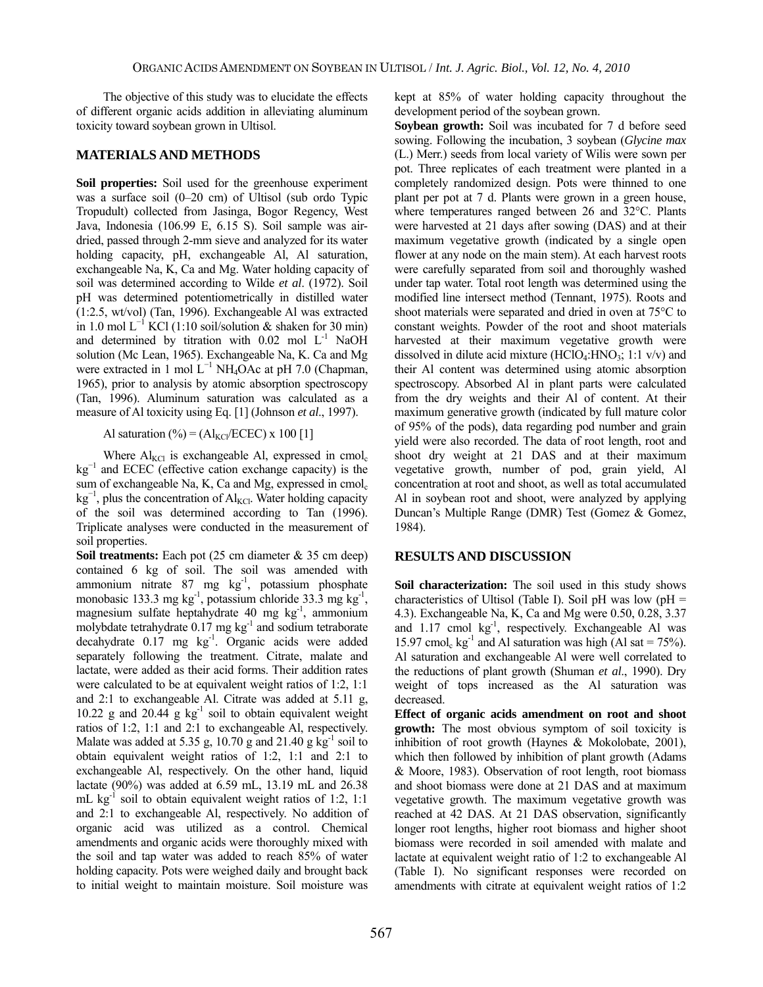The objective of this study was to elucidate the effects of different organic acids addition in alleviating aluminum toxicity toward soybean grown in Ultisol.

#### **MATERIALS AND METHODS**

**Soil properties:** Soil used for the greenhouse experiment was a surface soil (0–20 cm) of Ultisol (sub ordo Typic Tropudult) collected from Jasinga, Bogor Regency, West Java, Indonesia (106.99 E, 6.15 S). Soil sample was airdried, passed through 2-mm sieve and analyzed for its water holding capacity, pH, exchangeable Al, Al saturation, exchangeable Na, K, Ca and Mg. Water holding capacity of soil was determined according to Wilde *et al*. (1972). Soil pH was determined potentiometrically in distilled water (1:2.5, wt/vol) (Tan, 1996). Exchangeable Al was extracted in 1.0 mol  $L^{-1}$  KCl (1:10 soil/solution & shaken for 30 min) and determined by titration with  $0.02$  mol  $L^{-1}$  NaOH solution (Mc Lean, 1965). Exchangeable Na, K. Ca and Mg were extracted in 1 mol  $L^{-1}$  NH<sub>4</sub>OAc at pH 7.0 (Chapman, 1965), prior to analysis by atomic absorption spectroscopy (Tan, 1996). Aluminum saturation was calculated as a measure of Al toxicity using Eq. [1] (Johnson *et al*., 1997).

Al saturation  $(\%) = (Al_{\text{KC}}/ECEC) \times 100$  [1]

Where  $Al_{KCl}$  is exchangeable Al, expressed in cmol<sub>c</sub> kg<sup>-1</sup> and ECEC (effective cation exchange capacity) is the sum of exchangeable Na, K, Ca and Mg, expressed in cmol<sub>c</sub>  $kg^{-1}$ , plus the concentration of Al<sub>KCl</sub>. Water holding capacity of the soil was determined according to Tan (1996). Triplicate analyses were conducted in the measurement of soil properties.

**Soil treatments:** Each pot (25 cm diameter & 35 cm deep) contained 6 kg of soil. The soil was amended with ammonium nitrate  $87$  mg  $\text{kg}^{-1}$ , potassium phosphate monobasic 133.3 mg kg<sup>-1</sup>, potassium chloride 33.3 mg kg<sup>-1</sup>, magnesium sulfate heptahydrate 40 mg kg<sup>-1</sup>, ammonium molybdate tetrahydrate  $0.17$  mg kg<sup>-1</sup> and sodium tetraborate decahydrate  $0.17$  mg kg<sup>-1</sup>. Organic acids were added separately following the treatment. Citrate, malate and lactate, were added as their acid forms. Their addition rates were calculated to be at equivalent weight ratios of 1:2, 1:1 and 2:1 to exchangeable Al. Citrate was added at 5.11 g, 10.22 g and 20.44 g  $kg^{-1}$  soil to obtain equivalent weight ratios of 1:2, 1:1 and 2:1 to exchangeable Al, respectively. Malate was added at 5.35 g, 10.70 g and 21.40 g  $kg^{-1}$  soil to obtain equivalent weight ratios of 1:2, 1:1 and 2:1 to exchangeable Al, respectively. On the other hand, liquid lactate (90%) was added at 6.59 mL, 13.19 mL and 26.38 mL  $kg^{-1}$  soil to obtain equivalent weight ratios of 1:2, 1:1 and 2:1 to exchangeable Al, respectively. No addition of organic acid was utilized as a control. Chemical amendments and organic acids were thoroughly mixed with the soil and tap water was added to reach 85% of water holding capacity. Pots were weighed daily and brought back to initial weight to maintain moisture. Soil moisture was

kept at 85% of water holding capacity throughout the development period of the soybean grown.

**Soybean growth:** Soil was incubated for 7 d before seed sowing. Following the incubation, 3 soybean (*Glycine max* (L.) Merr.) seeds from local variety of Wilis were sown per pot. Three replicates of each treatment were planted in a completely randomized design. Pots were thinned to one plant per pot at 7 d. Plants were grown in a green house, where temperatures ranged between 26 and 32°C. Plants were harvested at 21 days after sowing (DAS) and at their maximum vegetative growth (indicated by a single open flower at any node on the main stem). At each harvest roots were carefully separated from soil and thoroughly washed under tap water. Total root length was determined using the modified line intersect method (Tennant, 1975). Roots and shoot materials were separated and dried in oven at 75°C to constant weights. Powder of the root and shoot materials harvested at their maximum vegetative growth were dissolved in dilute acid mixture  $(HClO<sub>4</sub>:HNO<sub>3</sub>; 1:1 v/v)$  and their Al content was determined using atomic absorption spectroscopy. Absorbed Al in plant parts were calculated from the dry weights and their Al of content. At their maximum generative growth (indicated by full mature color of 95% of the pods), data regarding pod number and grain yield were also recorded. The data of root length, root and shoot dry weight at 21 DAS and at their maximum vegetative growth, number of pod, grain yield, Al concentration at root and shoot, as well as total accumulated Al in soybean root and shoot, were analyzed by applying Duncan's Multiple Range (DMR) Test (Gomez & Gomez, 1984).

### **RESULTS AND DISCUSSION**

**Soil characterization:** The soil used in this study shows characteristics of Ultisol (Table I). Soil pH was low ( $pH =$ 4.3). Exchangeable Na, K, Ca and Mg were 0.50, 0.28, 3.37 and 1.17 cmol kg-1, respectively. Exchangeable Al was 15.97 cmol<sub>c</sub> kg<sup>-1</sup> and Al saturation was high (Al sat =  $75\%$ ). Al saturation and exchangeable Al were well correlated to the reductions of plant growth (Shuman *et al*., 1990). Dry weight of tops increased as the Al saturation was decreased.

**Effect of organic acids amendment on root and shoot growth:** The most obvious symptom of soil toxicity is inhibition of root growth (Haynes & Mokolobate, 2001), which then followed by inhibition of plant growth (Adams & Moore, 1983). Observation of root length, root biomass and shoot biomass were done at 21 DAS and at maximum vegetative growth. The maximum vegetative growth was reached at 42 DAS. At 21 DAS observation, significantly longer root lengths, higher root biomass and higher shoot biomass were recorded in soil amended with malate and lactate at equivalent weight ratio of 1:2 to exchangeable Al (Table I). No significant responses were recorded on amendments with citrate at equivalent weight ratios of 1:2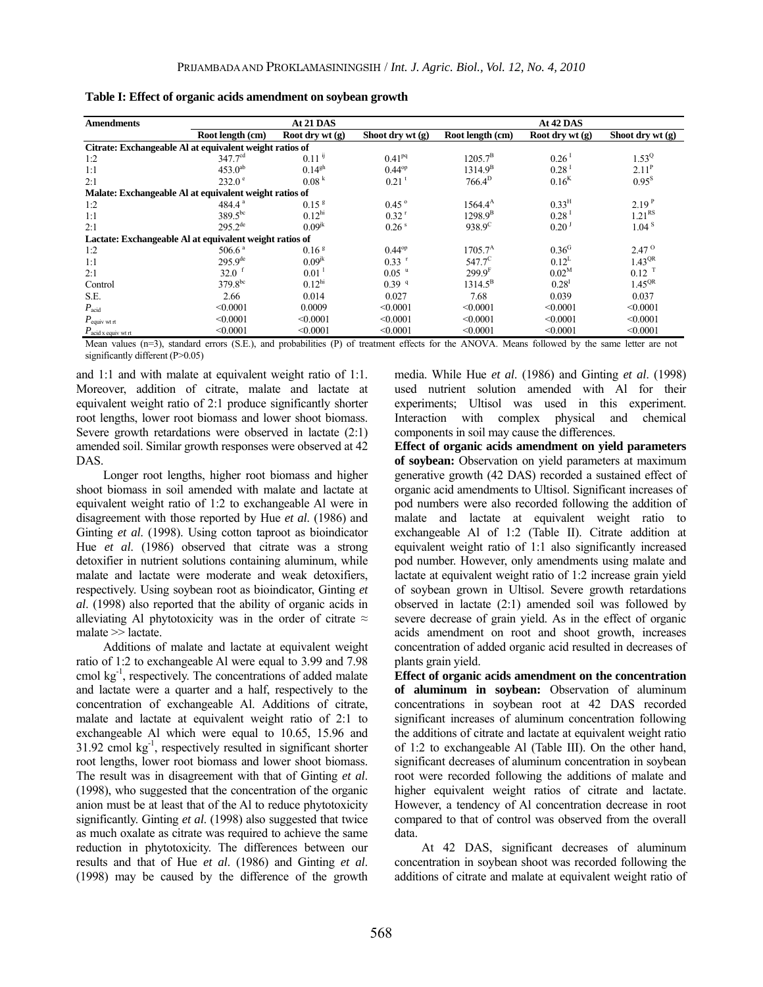| <b>Amendments</b>              | At 21 DAS                                               |                      |                     | At 42 DAS          |                     |                     |
|--------------------------------|---------------------------------------------------------|----------------------|---------------------|--------------------|---------------------|---------------------|
|                                | Root length (cm)                                        | Root dry wt $(g)$    | Shoot dry $wt(g)$   | Root length (cm)   | Root dry wt $(g)$   | Shoot dry wt $(g)$  |
|                                | Citrate: Exchangeable Al at equivalent weight ratios of |                      |                     |                    |                     |                     |
| 1:2                            | 347.7 <sup>cd</sup>                                     | $0.11$ <sup>ij</sup> | $0.41^{pq}$         | $1205.7^{\rm B}$   | $0.26$ <sup>1</sup> | $1.53^{Q}$          |
| 1:1                            | $453.0^{ab}$                                            | $0.14^{gh}$          | $0.44^{op}$         | $1314.9^B$         | $0.28$ <sup>1</sup> | 2.11 <sup>P</sup>   |
| 2:1                            | $232.0^{\circ}$                                         | 0.08 <sup>k</sup>    | $0.21$ <sup>t</sup> | $766.4^{\rm D}$    | 0.16 <sup>K</sup>   | $0.95^{S}$          |
|                                | Malate: Exchangeable Al at equivalent weight ratios of  |                      |                     |                    |                     |                     |
| 1:2                            | 484.4 $a$                                               | 0.15 <sup>8</sup>    | $0.45^{\circ}$      | $1564.4^{\rm A}$   | 0.33 <sup>H</sup>   | 2.19 <sup>P</sup>   |
| 1:1                            | $389.5^{bc}$                                            | 0.12 <sup>hi</sup>   | $0.32$ <sup>r</sup> | $1298.9^{B}$       | $0.28$ <sup>1</sup> | 1.21 <sup>RS</sup>  |
| 2:1                            | $295.2^{\text{de}}$                                     | $0.09^{jk}$          | 0.26 <sup>s</sup>   | $938.9^{\circ}$    | 0.20 <sup>3</sup>   | 1.04 <sup>8</sup>   |
|                                | Lactate: Exchangeable Al at equivalent weight ratios of |                      |                     |                    |                     |                     |
| 1:2                            | 506.6 <sup>a</sup>                                      | 0.16 <sup>g</sup>    | $0.44^{op}$         | $1705.7^A$         | 0.36 <sup>G</sup>   | $2.47^{\circ}$      |
| 1:1                            | $295.9^{\text{de}}$                                     | $0.09^{jk}$          | $0.33$ <sup>r</sup> | $547.7^{\circ}$    | $0.12^L$            | 1.43 <sup>QR</sup>  |
| 2:1                            | $32.0$ f                                                | $0.01$ <sup>1</sup>  | $0.05$ $u$          | 299.9 <sup>F</sup> | $0.02^{M}$          | $0.12$ <sup>T</sup> |
| Control                        | $379.8^{bc}$                                            | 0.12 <sup>hi</sup>   | 0.39 <sup>q</sup>   | $1314.5^{\rm B}$   | 0.28 <sup>1</sup>   | $1.45^{\text{QR}}$  |
| S.E.                           | 2.66                                                    | 0.014                | 0.027               | 7.68               | 0.039               | 0.037               |
| $P_{\rm acid}$                 | < 0.0001                                                | 0.0009               | < 0.0001            | < 0.0001           | < 0.0001            | < 0.0001            |
| $P_{\rm equiv\, wt\,rt}$       | < 0.0001                                                | < 0.0001             | < 0.0001            | < 0.0001           | < 0.0001            | < 0.0001            |
| $P_{\text{acid x equiv wtrt}}$ | < 0.0001                                                | < 0.0001             | < 0.0001            | < 0.0001           | < 0.0001            | < 0.0001            |

**Table I: Effect of organic acids amendment on soybean growth**

Mean values (n=3), standard errors (S.E.), and probabilities (P) of treatment effects for the ANOVA. Means followed by the same letter are not significantly different (P>0.05)

and 1:1 and with malate at equivalent weight ratio of 1:1. Moreover, addition of citrate, malate and lactate at equivalent weight ratio of 2:1 produce significantly shorter root lengths, lower root biomass and lower shoot biomass. Severe growth retardations were observed in lactate (2:1) amended soil. Similar growth responses were observed at 42 DAS.

Longer root lengths, higher root biomass and higher shoot biomass in soil amended with malate and lactate at equivalent weight ratio of 1:2 to exchangeable Al were in disagreement with those reported by Hue *et al*. (1986) and Ginting *et al*. (1998). Using cotton taproot as bioindicator Hue *et al*. (1986) observed that citrate was a strong detoxifier in nutrient solutions containing aluminum, while malate and lactate were moderate and weak detoxifiers, respectively. Using soybean root as bioindicator, Ginting *et al*. (1998) also reported that the ability of organic acids in alleviating Al phytotoxicity was in the order of citrate  $\approx$ malate >> lactate.

Additions of malate and lactate at equivalent weight ratio of 1:2 to exchangeable Al were equal to 3.99 and 7.98 cmol  $kg<sup>-1</sup>$ , respectively. The concentrations of added malate and lactate were a quarter and a half, respectively to the concentration of exchangeable Al. Additions of citrate, malate and lactate at equivalent weight ratio of 2:1 to exchangeable Al which were equal to 10.65, 15.96 and  $31.92$  cmol kg<sup>-1</sup>, respectively resulted in significant shorter root lengths, lower root biomass and lower shoot biomass. The result was in disagreement with that of Ginting *et al*. (1998), who suggested that the concentration of the organic anion must be at least that of the Al to reduce phytotoxicity significantly. Ginting *et al*. (1998) also suggested that twice as much oxalate as citrate was required to achieve the same reduction in phytotoxicity. The differences between our results and that of Hue *et al*. (1986) and Ginting *et al*. (1998) may be caused by the difference of the growth

media. While Hue *et al*. (1986) and Ginting *et al*. (1998) used nutrient solution amended with Al for their experiments; Ultisol was used in this experiment. Interaction with complex physical and chemical components in soil may cause the differences.

**Effect of organic acids amendment on yield parameters of soybean:** Observation on yield parameters at maximum generative growth (42 DAS) recorded a sustained effect of organic acid amendments to Ultisol. Significant increases of pod numbers were also recorded following the addition of malate and lactate at equivalent weight ratio to exchangeable Al of 1:2 (Table II). Citrate addition at equivalent weight ratio of 1:1 also significantly increased pod number. However, only amendments using malate and lactate at equivalent weight ratio of 1:2 increase grain yield of soybean grown in Ultisol. Severe growth retardations observed in lactate (2:1) amended soil was followed by severe decrease of grain yield. As in the effect of organic acids amendment on root and shoot growth, increases concentration of added organic acid resulted in decreases of plants grain yield.

**Effect of organic acids amendment on the concentration of aluminum in soybean:** Observation of aluminum concentrations in soybean root at 42 DAS recorded significant increases of aluminum concentration following the additions of citrate and lactate at equivalent weight ratio of 1:2 to exchangeable Al (Table III). On the other hand, significant decreases of aluminum concentration in soybean root were recorded following the additions of malate and higher equivalent weight ratios of citrate and lactate. However, a tendency of Al concentration decrease in root compared to that of control was observed from the overall data.

At 42 DAS, significant decreases of aluminum concentration in soybean shoot was recorded following the additions of citrate and malate at equivalent weight ratio of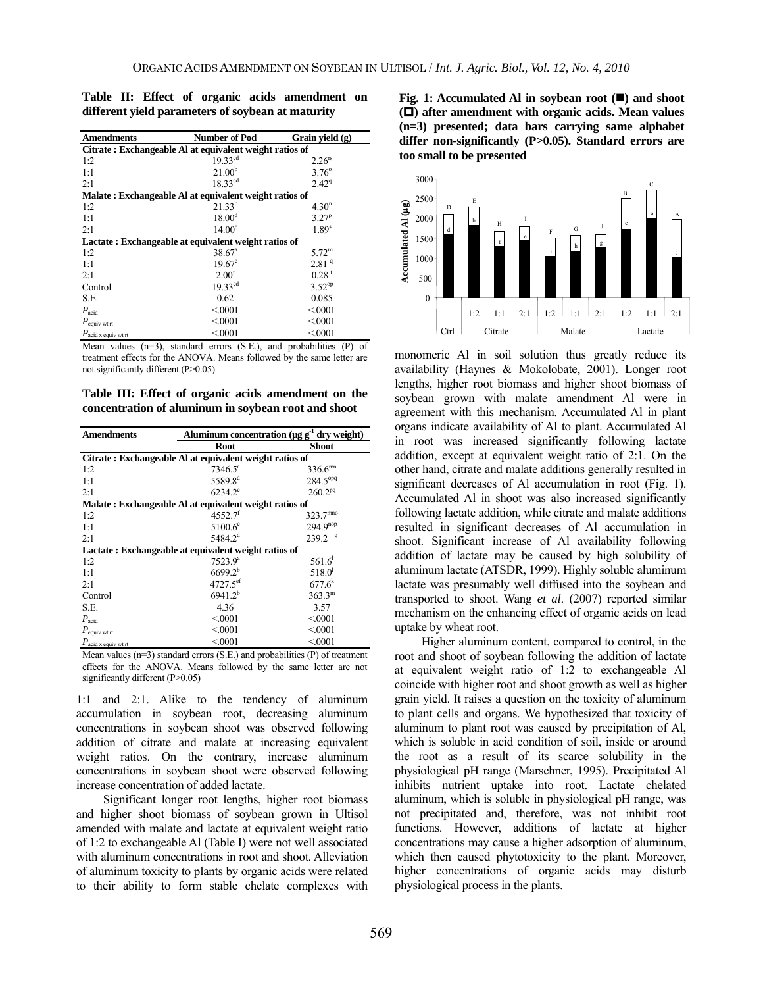| <b>Amendments</b>                                       | <b>Number of Pod</b> | Grain yield (g)   |  |  |  |  |
|---------------------------------------------------------|----------------------|-------------------|--|--|--|--|
| Citrate: Exchangeable Al at equivalent weight ratios of |                      |                   |  |  |  |  |
| 1:2                                                     | $19.33^{cd}$         | $2.26^{rs}$       |  |  |  |  |
| 1:1                                                     | 21.00 <sup>b</sup>   | $3.76^{\circ}$    |  |  |  |  |
| 2:1                                                     | $18.33^{cd}$         | $2.42^{\rm q}$    |  |  |  |  |
| Malate: Exchangeable Al at equivalent weight ratios of  |                      |                   |  |  |  |  |
| 1:2                                                     | $21.33^{b}$          | 4.30 <sup>n</sup> |  |  |  |  |
| 1:1                                                     | 18.00 <sup>d</sup>   | 3.27 <sup>p</sup> |  |  |  |  |
| 2:1                                                     | $14.00^{\circ}$      | 1.89 <sup>s</sup> |  |  |  |  |
| Lactate: Exchangeable at equivalent weight ratios of    |                      |                   |  |  |  |  |
| 1:2                                                     | $38.67^{\circ}$      | $5.72^{\rm m}$    |  |  |  |  |
| 1:1                                                     | $19.67^{\circ}$      | 2.81 <sup>q</sup> |  |  |  |  |
| 2:1                                                     | 2.00 <sup>f</sup>    | 0.28 <sup>t</sup> |  |  |  |  |
| Control                                                 | $19.33^{cd}$         | $3.52^{op}$       |  |  |  |  |
| S.E.                                                    | 0.62                 | 0.085             |  |  |  |  |
| $P_{\rm acid}$                                          | < 0.001              | < 0001            |  |  |  |  |
| $P_{\text{equiv with}}$                                 | < 0.001              | < 0001            |  |  |  |  |
| $P_{\text{acid x equity wt rt}}$                        | < 0001               | < 0001            |  |  |  |  |

**Table II: Effect of organic acids amendment on different yield parameters of soybean at maturity** 

Mean values (n=3), standard errors (S.E.), and probabilities (P) of treatment effects for the ANOVA. Means followed by the same letter are not significantly different (P>0.05)

**Table III: Effect of organic acids amendment on the concentration of aluminum in soybean root and shoot**

| <b>Amendments</b>                                       | Aluminum concentration (µg g <sup>-1</sup> dry weight) |                      |  |  |  |  |  |
|---------------------------------------------------------|--------------------------------------------------------|----------------------|--|--|--|--|--|
|                                                         | Root                                                   | Shoot                |  |  |  |  |  |
| Citrate: Exchangeable Al at equivalent weight ratios of |                                                        |                      |  |  |  |  |  |
| 1:2                                                     | $7346.5^{\circ}$                                       | 336.6 <sup>mn</sup>  |  |  |  |  |  |
| 1:1                                                     | 5589.8 <sup>d</sup>                                    | 284.5 <sup>opq</sup> |  |  |  |  |  |
| 2:1                                                     | $6234.2^{\circ}$                                       | $260.2^{pq}$         |  |  |  |  |  |
| Malate: Exchangeable Al at equivalent weight ratios of  |                                                        |                      |  |  |  |  |  |
| 1:2                                                     | $4552.7$ <sup>f</sup>                                  | 323.7 <sup>mno</sup> |  |  |  |  |  |
| 1:1                                                     | $5100.6^{\circ}$                                       | $294.9^{nop}$        |  |  |  |  |  |
| 2:1                                                     | $5484.2^{d}$                                           | 239.2 <sup>q</sup>   |  |  |  |  |  |
| Lactate: Exchangeable at equivalent weight ratios of    |                                                        |                      |  |  |  |  |  |
| 1:2                                                     | $7523.9^a$                                             | 561.6 <sup>1</sup>   |  |  |  |  |  |
| 1:1                                                     | $6699.2^{b}$                                           | $518.0^{\rm l}$      |  |  |  |  |  |
| 2:1                                                     | 4727.5ef                                               | $677.6^{k}$          |  |  |  |  |  |
| Control                                                 | $6941.2^{b}$                                           | $363.3^{\rm m}$      |  |  |  |  |  |
| S.E.                                                    | 4.36                                                   | 3.57                 |  |  |  |  |  |
| $P_{\text{acid}}$                                       | < 0.001                                                | < 0001               |  |  |  |  |  |
| $P_{\text{equiv with}}$                                 | < 0.001                                                | < 0001               |  |  |  |  |  |
| $P_{\text{acid }x \text{ equiv wt rt}}$                 | < 0.001                                                | < 0001               |  |  |  |  |  |

Mean values (n=3) standard errors (S.E.) and probabilities (P) of treatment effects for the ANOVA. Means followed by the same letter are not significantly different (P>0.05)

1:1 and 2:1. Alike to the tendency of aluminum accumulation in soybean root, decreasing aluminum concentrations in soybean shoot was observed following addition of citrate and malate at increasing equivalent weight ratios. On the contrary, increase aluminum concentrations in soybean shoot were observed following increase concentration of added lactate.

Significant longer root lengths, higher root biomass and higher shoot biomass of soybean grown in Ultisol amended with malate and lactate at equivalent weight ratio of 1:2 to exchangeable Al (Table I) were not well associated with aluminum concentrations in root and shoot. Alleviation of aluminum toxicity to plants by organic acids were related to their ability to form stable chelate complexes with

**Fig. 1:** Accumulated Al in soybean root ( $\blacksquare$ ) and shoot **() after amendment with organic acids. Mean values (n=3) presented; data bars carrying same alphabet differ non-significantly (P>0.05). Standard errors are too small to be presented** 



monomeric Al in soil solution thus greatly reduce its availability (Haynes & Mokolobate, 2001). Longer root lengths, higher root biomass and higher shoot biomass of soybean grown with malate amendment Al were in agreement with this mechanism. Accumulated Al in plant organs indicate availability of Al to plant. Accumulated Al in root was increased significantly following lactate addition, except at equivalent weight ratio of 2:1. On the other hand, citrate and malate additions generally resulted in significant decreases of Al accumulation in root (Fig. 1). Accumulated Al in shoot was also increased significantly following lactate addition, while citrate and malate additions resulted in significant decreases of Al accumulation in shoot. Significant increase of Al availability following addition of lactate may be caused by high solubility of aluminum lactate (ATSDR, 1999). Highly soluble aluminum lactate was presumably well diffused into the soybean and transported to shoot. Wang *et al*. (2007) reported similar mechanism on the enhancing effect of organic acids on lead uptake by wheat root.

Higher aluminum content, compared to control, in the root and shoot of soybean following the addition of lactate at equivalent weight ratio of 1:2 to exchangeable Al coincide with higher root and shoot growth as well as higher grain yield. It raises a question on the toxicity of aluminum to plant cells and organs. We hypothesized that toxicity of aluminum to plant root was caused by precipitation of Al, which is soluble in acid condition of soil, inside or around the root as a result of its scarce solubility in the physiological pH range (Marschner, 1995). Precipitated Al inhibits nutrient uptake into root. Lactate chelated aluminum, which is soluble in physiological pH range, was not precipitated and, therefore, was not inhibit root functions. However, additions of lactate at higher concentrations may cause a higher adsorption of aluminum, which then caused phytotoxicity to the plant. Moreover, higher concentrations of organic acids may disturb physiological process in the plants.